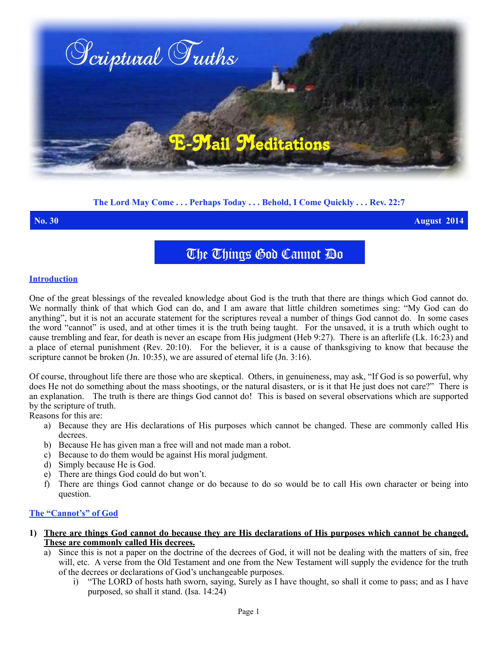

# **The Lord May Come . . . Perhaps Today . . . Behold, I Come Quickly . . . Rev. 22:7**

**No. 30 August 2014**

The Things God Cannot Do

### **Introduction**

One of the great blessings of the revealed knowledge about God is the truth that there are things which God cannot do. We normally think of that which God can do, and I am aware that little children sometimes sing: "My God can do anything", but it is not an accurate statement for the scriptures reveal a number of things God cannot do. In some cases the word "cannot" is used, and at other times it is the truth being taught. For the unsaved, it is a truth which ought to cause trembling and fear, for death is never an escape from His judgment (Heb 9:27). There is an afterlife (Lk. 16:23) and a place of eternal punishment (Rev. 20:10). For the believer, it is a cause of thanksgiving to know that because the scripture cannot be broken (Jn. 10:35), we are assured of eternal life (Jn. 3:16).

Of course, throughout life there are those who are skeptical. Others, in genuineness, may ask, "If God is so powerful, why does He not do something about the mass shootings, or the natural disasters, or is it that He just does not care?" There is an explanation. The truth is there are things God cannot do! This is based on several observations which are supported by the scripture of truth.

Reasons for this are:

- a) Because they are His declarations of His purposes which cannot be changed. These are commonly called His decrees.
- b) Because He has given man a free will and not made man a robot.
- c) Because to do them would be against His moral judgment.
- d) Simply because He is God.
- e) There are things God could do but won't.
- f) There are things God cannot change or do because to do so would be to call His own character or being into question.

## **The "Cannot's" of God**

- **1) There are things God cannot do because they are His declarations of His purposes which cannot be changed. These are commonly called His decrees.**
	- a) Since this is not a paper on the doctrine of the decrees of God, it will not be dealing with the matters of sin, free will, etc. A verse from the Old Testament and one from the New Testament will supply the evidence for the truth of the decrees or declarations of God's unchangeable purposes.
		- i) "The LORD of hosts hath sworn, saying, Surely as I have thought, so shall it come to pass; and as I have purposed, so shall it stand. (Isa. 14:24)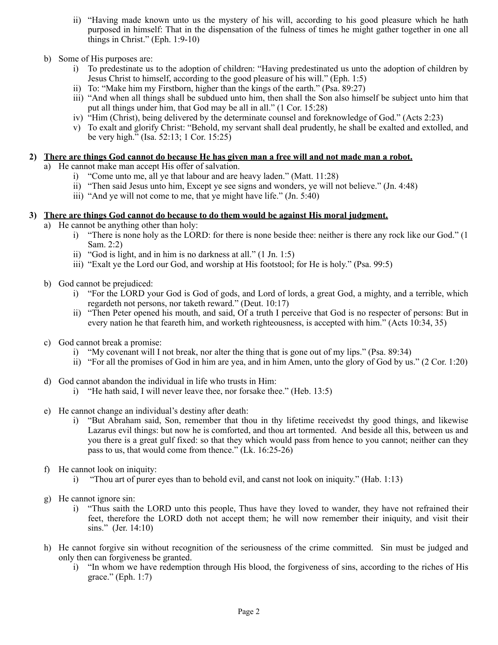- ii) "Having made known unto us the mystery of his will, according to his good pleasure which he hath purposed in himself: That in the dispensation of the fulness of times he might gather together in one all things in Christ." (Eph. 1:9-10)
- b) Some of His purposes are:
	- i) To predestinate us to the adoption of children: "Having predestinated us unto the adoption of children by Jesus Christ to himself, according to the good pleasure of his will." (Eph. 1:5)
	- ii) To: "Make him my Firstborn, higher than the kings of the earth." (Psa. 89:27)
	- iii) "And when all things shall be subdued unto him, then shall the Son also himself be subject unto him that put all things under him, that God may be all in all." (1 Cor. 15:28)
	- iv) "Him (Christ), being delivered by the determinate counsel and foreknowledge of God." (Acts 2:23)
	- v) To exalt and glorify Christ: "Behold, my servant shall deal prudently, he shall be exalted and extolled, and be very high." (Isa. 52:13; 1 Cor. 15:25)

### **2) There are things God cannot do because He has given man a free will and not made man a robot.**

- a) He cannot make man accept His offer of salvation.
	- i) "Come unto me, all ye that labour and are heavy laden." (Matt. 11:28)
	- ii) "Then said Jesus unto him, Except ye see signs and wonders, ye will not believe." (Jn. 4:48)
	- iii) "And ye will not come to me, that ye might have life." (Jn. 5:40)

### **3) There are things God cannot do because to do them would be against His moral judgment.**

- a) He cannot be anything other than holy:
	- i) "There is none holy as the LORD: for there is none beside thee: neither is there any rock like our God." (1 Sam. 2:2)
	- ii) "God is light, and in him is no darkness at all." (1 Jn. 1:5)
	- iii) "Exalt ye the Lord our God, and worship at His footstool; for He is holy." (Psa. 99:5)
- b) God cannot be prejudiced:
	- i) "For the LORD your God is God of gods, and Lord of lords, a great God, a mighty, and a terrible, which regardeth not persons, nor taketh reward." (Deut. 10:17)
	- ii) "Then Peter opened his mouth, and said, Of a truth I perceive that God is no respecter of persons: But in every nation he that feareth him, and worketh righteousness, is accepted with him." (Acts 10:34, 35)
- c) God cannot break a promise:
	- i) "My covenant will I not break, nor alter the thing that is gone out of my lips." (Psa. 89:34)
	- ii) "For all the promises of God in him are yea, and in him Amen, unto the glory of God by us." (2 Cor. 1:20)
- d) God cannot abandon the individual in life who trusts in Him:
	- i) "He hath said, I will never leave thee, nor forsake thee." (Heb. 13:5)
- e) He cannot change an individual's destiny after death:
	- i) "But Abraham said, Son, remember that thou in thy lifetime receivedst thy good things, and likewise Lazarus evil things: but now he is comforted, and thou art tormented. And beside all this, between us and you there is a great gulf fixed: so that they which would pass from hence to you cannot; neither can they pass to us, that would come from thence." (Lk. 16:25-26)
- f) He cannot look on iniquity:
	- i) "Thou art of purer eyes than to behold evil, and canst not look on iniquity." (Hab. 1:13)
- g) He cannot ignore sin:
	- i) "Thus saith the LORD unto this people, Thus have they loved to wander, they have not refrained their feet, therefore the LORD doth not accept them; he will now remember their iniquity, and visit their sins." (Jer. 14:10)
- h) He cannot forgive sin without recognition of the seriousness of the crime committed. Sin must be judged and only then can forgiveness be granted.
	- i) "In whom we have redemption through His blood, the forgiveness of sins, according to the riches of His grace." (Eph. 1:7)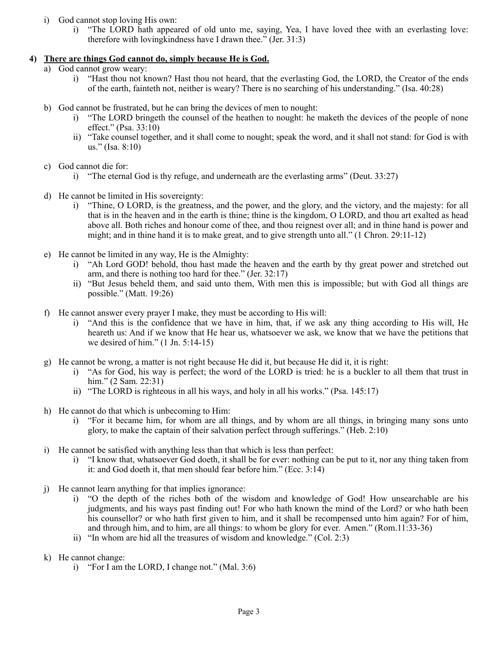- i) God cannot stop loving His own:
	- i) "The LORD hath appeared of old unto me, saying, Yea, I have loved thee with an everlasting love: therefore with lovingkindness have I drawn thee." (Jer. 31:3)

# **4) There are things God cannot do, simply because He is God.**

- a) God cannot grow weary:
	- i) "Hast thou not known? Hast thou not heard, that the everlasting God, the LORD, the Creator of the ends of the earth, fainteth not, neither is weary? There is no searching of his understanding." (Isa. 40:28)
- b) God cannot be frustrated, but he can bring the devices of men to nought:
	- i) "The LORD bringeth the counsel of the heathen to nought: he maketh the devices of the people of none effect." (Psa. 33:10)
	- ii) "Take counsel together, and it shall come to nought; speak the word, and it shall not stand: for God is with us." (Isa. 8:10)
- c) God cannot die for:
	- i) "The eternal God is thy refuge, and underneath are the everlasting arms" (Deut. 33:27)
- d) He cannot be limited in His sovereignty:
	- i) "Thine, O LORD, is the greatness, and the power, and the glory, and the victory, and the majesty: for all that is in the heaven and in the earth is thine; thine is the kingdom, O LORD, and thou art exalted as head above all. Both riches and honour come of thee, and thou reignest over all; and in thine hand is power and might; and in thine hand it is to make great, and to give strength unto all." (1 Chron. 29:11-12)
- e) He cannot be limited in any way, He is the Almighty:
	- i) "Ah Lord GOD! behold, thou hast made the heaven and the earth by thy great power and stretched out arm, and there is nothing too hard for thee." (Jer. 32:17)
	- ii) "But Jesus beheld them, and said unto them, With men this is impossible; but with God all things are possible." (Matt. 19:26)
- f) He cannot answer every prayer I make, they must be according to His will:
	- i) "And this is the confidence that we have in him, that, if we ask any thing according to His will, He heareth us: And if we know that He hear us, whatsoever we ask, we know that we have the petitions that we desired of him." (1 Jn. 5:14-15)
- g) He cannot be wrong, a matter is not right because He did it, but because He did it, it is right:
	- i) "As for God, his way is perfect; the word of the LORD is tried: he is a buckler to all them that trust in him." (2 Sam. 22:31)
	- ii) "The LORD is righteous in all his ways, and holy in all his works." (Psa. 145:17)
- h) He cannot do that which is unbecoming to Him:
	- i) "For it became him, for whom are all things, and by whom are all things, in bringing many sons unto glory, to make the captain of their salvation perfect through sufferings." (Heb. 2:10)
- i) He cannot be satisfied with anything less than that which is less than perfect:
	- i) "I know that, whatsoever God doeth, it shall be for ever: nothing can be put to it, nor any thing taken from it: and God doeth it, that men should fear before him." (Ecc. 3:14)
- j) He cannot learn anything for that implies ignorance:
	- i) "O the depth of the riches both of the wisdom and knowledge of God! How unsearchable are his judgments, and his ways past finding out! For who hath known the mind of the Lord? or who hath been his counsellor? or who hath first given to him, and it shall be recompensed unto him again? For of him, and through him, and to him, are all things: to whom be glory for ever. Amen." (Rom.11:33-36)
	- ii) "In whom are hid all the treasures of wisdom and knowledge." (Col. 2:3)
- k) He cannot change:
	- i) "For I am the LORD, I change not." (Mal. 3:6)